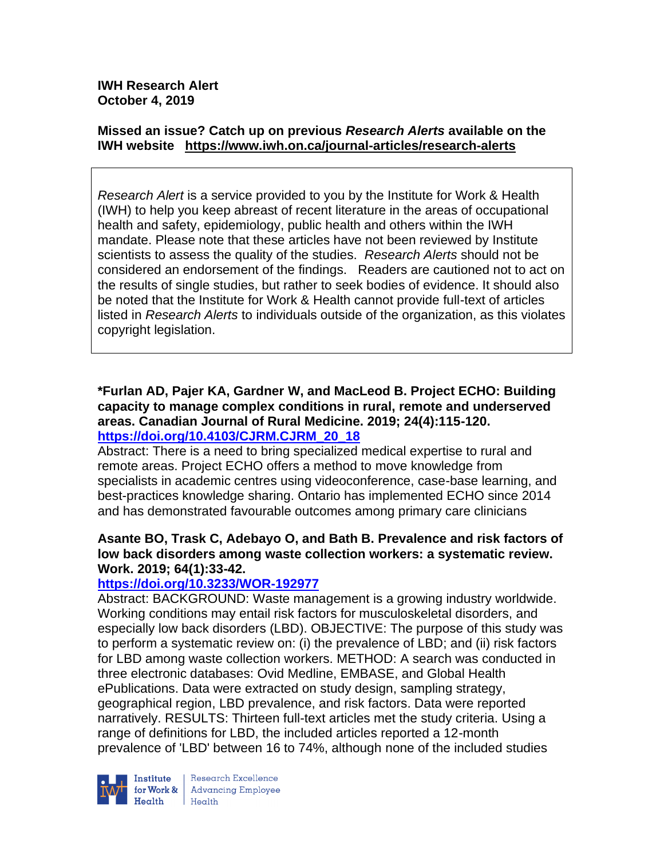# **Missed an issue? Catch up on previous** *Research Alerts* **available on the [IWH website](http://www.iwh.on.ca/research-alerts) <https://www.iwh.on.ca/journal-articles/research-alerts>**

*Research Alert* is a service provided to you by the Institute for Work & Health (IWH) to help you keep abreast of recent literature in the areas of occupational health and safety, epidemiology, public health and others within the IWH mandate. Please note that these articles have not been reviewed by Institute scientists to assess the quality of the studies. *Research Alerts* should not be considered an endorsement of the findings. Readers are cautioned not to act on the results of single studies, but rather to seek bodies of evidence. It should also be noted that the Institute for Work & Health cannot provide full-text of articles listed in *Research Alerts* to individuals outside of the organization, as this violates copyright legislation.

## **\*Furlan AD, Pajer KA, Gardner W, and MacLeod B. Project ECHO: Building capacity to manage complex conditions in rural, remote and underserved areas. Canadian Journal of Rural Medicine. 2019; 24(4):115-120. [https://doi.org/10.4103/CJRM.CJRM\\_20\\_18](https://doi.org/10.4103/CJRM.CJRM_20_18)**

Abstract: There is a need to bring specialized medical expertise to rural and remote areas. Project ECHO offers a method to move knowledge from specialists in academic centres using videoconference, case-base learning, and best-practices knowledge sharing. Ontario has implemented ECHO since 2014 and has demonstrated favourable outcomes among primary care clinicians

# **Asante BO, Trask C, Adebayo O, and Bath B. Prevalence and risk factors of low back disorders among waste collection workers: a systematic review. Work. 2019; 64(1):33-42.**

# **<https://doi.org/10.3233/WOR-192977>**

Abstract: BACKGROUND: Waste management is a growing industry worldwide. Working conditions may entail risk factors for musculoskeletal disorders, and especially low back disorders (LBD). OBJECTIVE: The purpose of this study was to perform a systematic review on: (i) the prevalence of LBD; and (ii) risk factors for LBD among waste collection workers. METHOD: A search was conducted in three electronic databases: Ovid Medline, EMBASE, and Global Health ePublications. Data were extracted on study design, sampling strategy, geographical region, LBD prevalence, and risk factors. Data were reported narratively. RESULTS: Thirteen full-text articles met the study criteria. Using a range of definitions for LBD, the included articles reported a 12-month prevalence of 'LBD' between 16 to 74%, although none of the included studies



Research Excellence for Work & | Advancing Employee  $Heath$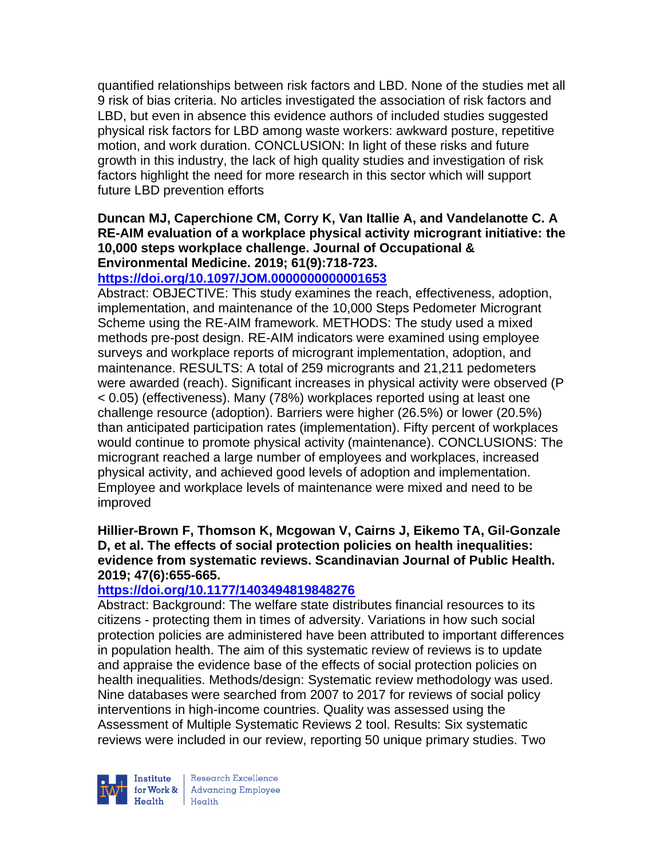quantified relationships between risk factors and LBD. None of the studies met all 9 risk of bias criteria. No articles investigated the association of risk factors and LBD, but even in absence this evidence authors of included studies suggested physical risk factors for LBD among waste workers: awkward posture, repetitive motion, and work duration. CONCLUSION: In light of these risks and future growth in this industry, the lack of high quality studies and investigation of risk factors highlight the need for more research in this sector which will support future LBD prevention efforts

## **Duncan MJ, Caperchione CM, Corry K, Van Itallie A, and Vandelanotte C. A RE-AIM evaluation of a workplace physical activity microgrant initiative: the 10,000 steps workplace challenge. Journal of Occupational & Environmental Medicine. 2019; 61(9):718-723.**

# **<https://doi.org/10.1097/JOM.0000000000001653>**

Abstract: OBJECTIVE: This study examines the reach, effectiveness, adoption, implementation, and maintenance of the 10,000 Steps Pedometer Microgrant Scheme using the RE-AIM framework. METHODS: The study used a mixed methods pre-post design. RE-AIM indicators were examined using employee surveys and workplace reports of microgrant implementation, adoption, and maintenance. RESULTS: A total of 259 microgrants and 21,211 pedometers were awarded (reach). Significant increases in physical activity were observed (P < 0.05) (effectiveness). Many (78%) workplaces reported using at least one challenge resource (adoption). Barriers were higher (26.5%) or lower (20.5%) than anticipated participation rates (implementation). Fifty percent of workplaces would continue to promote physical activity (maintenance). CONCLUSIONS: The microgrant reached a large number of employees and workplaces, increased physical activity, and achieved good levels of adoption and implementation. Employee and workplace levels of maintenance were mixed and need to be improved

## **Hillier-Brown F, Thomson K, Mcgowan V, Cairns J, Eikemo TA, Gil-Gonzale D, et al. The effects of social protection policies on health inequalities: evidence from systematic reviews. Scandinavian Journal of Public Health. 2019; 47(6):655-665.**

## **<https://doi.org/10.1177/1403494819848276>**

Abstract: Background: The welfare state distributes financial resources to its citizens - protecting them in times of adversity. Variations in how such social protection policies are administered have been attributed to important differences in population health. The aim of this systematic review of reviews is to update and appraise the evidence base of the effects of social protection policies on health inequalities. Methods/design: Systematic review methodology was used. Nine databases were searched from 2007 to 2017 for reviews of social policy interventions in high-income countries. Quality was assessed using the Assessment of Multiple Systematic Reviews 2 tool. Results: Six systematic reviews were included in our review, reporting 50 unique primary studies. Two



Research Excellence for Work & | Advancing Employee  $Heath$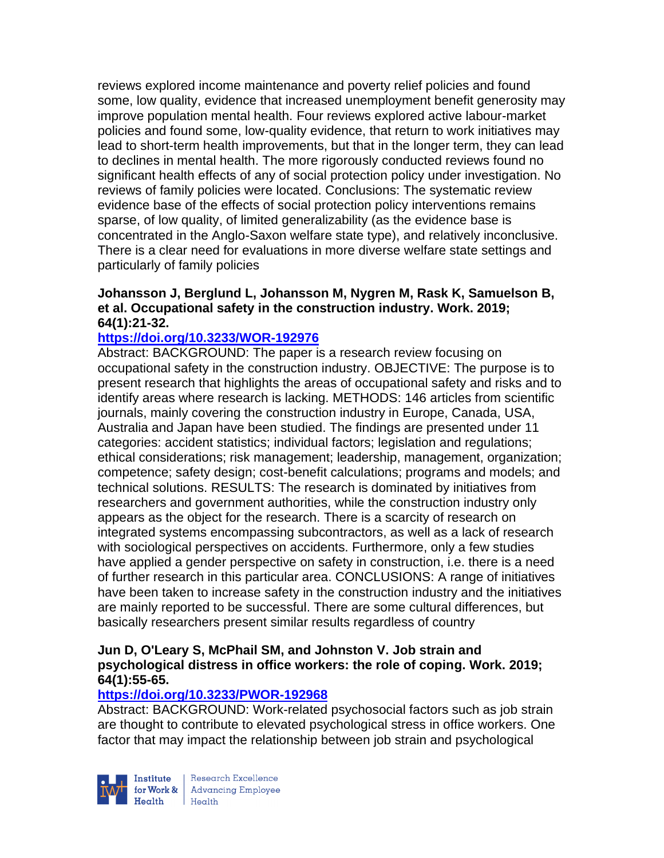reviews explored income maintenance and poverty relief policies and found some, low quality, evidence that increased unemployment benefit generosity may improve population mental health. Four reviews explored active labour-market policies and found some, low-quality evidence, that return to work initiatives may lead to short-term health improvements, but that in the longer term, they can lead to declines in mental health. The more rigorously conducted reviews found no significant health effects of any of social protection policy under investigation. No reviews of family policies were located. Conclusions: The systematic review evidence base of the effects of social protection policy interventions remains sparse, of low quality, of limited generalizability (as the evidence base is concentrated in the Anglo-Saxon welfare state type), and relatively inconclusive. There is a clear need for evaluations in more diverse welfare state settings and particularly of family policies

# **Johansson J, Berglund L, Johansson M, Nygren M, Rask K, Samuelson B, et al. Occupational safety in the construction industry. Work. 2019; 64(1):21-32.**

## **<https://doi.org/10.3233/WOR-192976>**

Abstract: BACKGROUND: The paper is a research review focusing on occupational safety in the construction industry. OBJECTIVE: The purpose is to present research that highlights the areas of occupational safety and risks and to identify areas where research is lacking. METHODS: 146 articles from scientific journals, mainly covering the construction industry in Europe, Canada, USA, Australia and Japan have been studied. The findings are presented under 11 categories: accident statistics; individual factors; legislation and regulations; ethical considerations; risk management; leadership, management, organization; competence; safety design; cost-benefit calculations; programs and models; and technical solutions. RESULTS: The research is dominated by initiatives from researchers and government authorities, while the construction industry only appears as the object for the research. There is a scarcity of research on integrated systems encompassing subcontractors, as well as a lack of research with sociological perspectives on accidents. Furthermore, only a few studies have applied a gender perspective on safety in construction, i.e. there is a need of further research in this particular area. CONCLUSIONS: A range of initiatives have been taken to increase safety in the construction industry and the initiatives are mainly reported to be successful. There are some cultural differences, but basically researchers present similar results regardless of country

#### **Jun D, O'Leary S, McPhail SM, and Johnston V. Job strain and psychological distress in office workers: the role of coping. Work. 2019; 64(1):55-65.**

## **<https://doi.org/10.3233/PWOR-192968>**

Abstract: BACKGROUND: Work-related psychosocial factors such as job strain are thought to contribute to elevated psychological stress in office workers. One factor that may impact the relationship between job strain and psychological



Research Excellence for Work & Advancing Employee<br>Health Health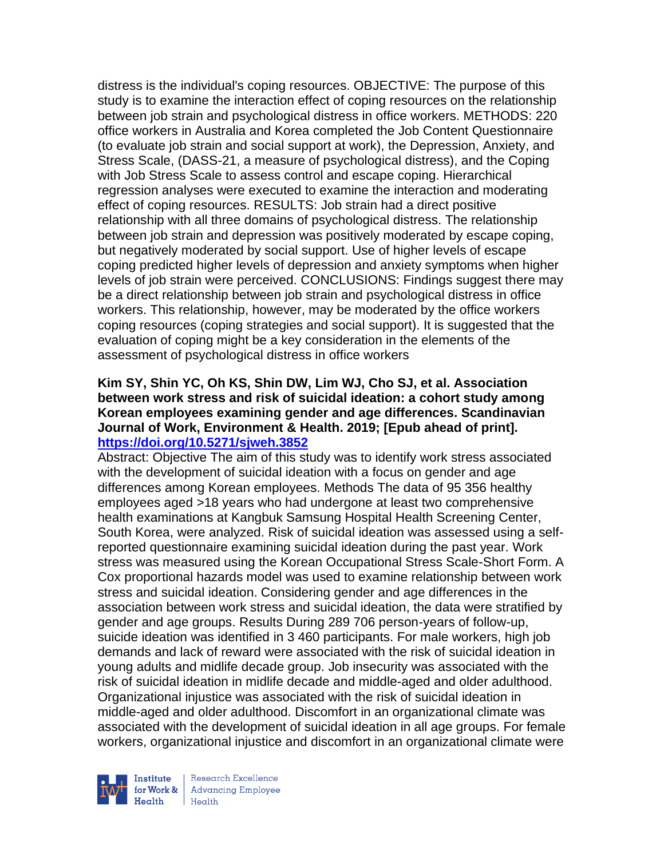distress is the individual's coping resources. OBJECTIVE: The purpose of this study is to examine the interaction effect of coping resources on the relationship between job strain and psychological distress in office workers. METHODS: 220 office workers in Australia and Korea completed the Job Content Questionnaire (to evaluate job strain and social support at work), the Depression, Anxiety, and Stress Scale, (DASS-21, a measure of psychological distress), and the Coping with Job Stress Scale to assess control and escape coping. Hierarchical regression analyses were executed to examine the interaction and moderating effect of coping resources. RESULTS: Job strain had a direct positive relationship with all three domains of psychological distress. The relationship between job strain and depression was positively moderated by escape coping, but negatively moderated by social support. Use of higher levels of escape coping predicted higher levels of depression and anxiety symptoms when higher levels of job strain were perceived. CONCLUSIONS: Findings suggest there may be a direct relationship between job strain and psychological distress in office workers. This relationship, however, may be moderated by the office workers coping resources (coping strategies and social support). It is suggested that the evaluation of coping might be a key consideration in the elements of the assessment of psychological distress in office workers

#### **Kim SY, Shin YC, Oh KS, Shin DW, Lim WJ, Cho SJ, et al. Association between work stress and risk of suicidal ideation: a cohort study among Korean employees examining gender and age differences. Scandinavian Journal of Work, Environment & Health. 2019; [Epub ahead of print]. <https://doi.org/10.5271/sjweh.3852>**

Abstract: Objective The aim of this study was to identify work stress associated with the development of suicidal ideation with a focus on gender and age differences among Korean employees. Methods The data of 95 356 healthy employees aged >18 years who had undergone at least two comprehensive health examinations at Kangbuk Samsung Hospital Health Screening Center, South Korea, were analyzed. Risk of suicidal ideation was assessed using a selfreported questionnaire examining suicidal ideation during the past year. Work stress was measured using the Korean Occupational Stress Scale-Short Form. A Cox proportional hazards model was used to examine relationship between work stress and suicidal ideation. Considering gender and age differences in the association between work stress and suicidal ideation, the data were stratified by gender and age groups. Results During 289 706 person-years of follow-up, suicide ideation was identified in 3 460 participants. For male workers, high job demands and lack of reward were associated with the risk of suicidal ideation in young adults and midlife decade group. Job insecurity was associated with the risk of suicidal ideation in midlife decade and middle-aged and older adulthood. Organizational injustice was associated with the risk of suicidal ideation in middle-aged and older adulthood. Discomfort in an organizational climate was associated with the development of suicidal ideation in all age groups. For female workers, organizational injustice and discomfort in an organizational climate were



Research Excellence for Work & | Advancing Employee Health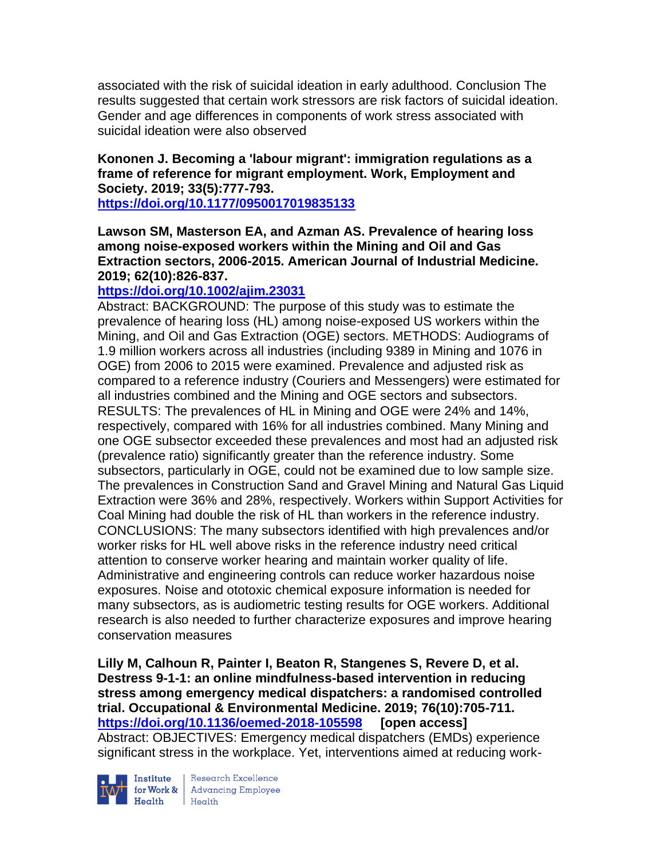associated with the risk of suicidal ideation in early adulthood. Conclusion The results suggested that certain work stressors are risk factors of suicidal ideation. Gender and age differences in components of work stress associated with suicidal ideation were also observed

## **Kononen J. Becoming a 'labour migrant': immigration regulations as a frame of reference for migrant employment. Work, Employment and Society. 2019; 33(5):777-793.**

**<https://doi.org/10.1177/0950017019835133>** 

## **Lawson SM, Masterson EA, and Azman AS. Prevalence of hearing loss among noise-exposed workers within the Mining and Oil and Gas Extraction sectors, 2006-2015. American Journal of Industrial Medicine. 2019; 62(10):826-837.**

# **<https://doi.org/10.1002/ajim.23031>**

Abstract: BACKGROUND: The purpose of this study was to estimate the prevalence of hearing loss (HL) among noise-exposed US workers within the Mining, and Oil and Gas Extraction (OGE) sectors. METHODS: Audiograms of 1.9 million workers across all industries (including 9389 in Mining and 1076 in OGE) from 2006 to 2015 were examined. Prevalence and adjusted risk as compared to a reference industry (Couriers and Messengers) were estimated for all industries combined and the Mining and OGE sectors and subsectors. RESULTS: The prevalences of HL in Mining and OGE were 24% and 14%, respectively, compared with 16% for all industries combined. Many Mining and one OGE subsector exceeded these prevalences and most had an adjusted risk (prevalence ratio) significantly greater than the reference industry. Some subsectors, particularly in OGE, could not be examined due to low sample size. The prevalences in Construction Sand and Gravel Mining and Natural Gas Liquid Extraction were 36% and 28%, respectively. Workers within Support Activities for Coal Mining had double the risk of HL than workers in the reference industry. CONCLUSIONS: The many subsectors identified with high prevalences and/or worker risks for HL well above risks in the reference industry need critical attention to conserve worker hearing and maintain worker quality of life. Administrative and engineering controls can reduce worker hazardous noise exposures. Noise and ototoxic chemical exposure information is needed for many subsectors, as is audiometric testing results for OGE workers. Additional research is also needed to further characterize exposures and improve hearing conservation measures

**Lilly M, Calhoun R, Painter I, Beaton R, Stangenes S, Revere D, et al. Destress 9-1-1: an online mindfulness-based intervention in reducing stress among emergency medical dispatchers: a randomised controlled trial. Occupational & Environmental Medicine. 2019; 76(10):705-711. <https://doi.org/10.1136/oemed-2018-105598> [open access]** Abstract: OBJECTIVES: Emergency medical dispatchers (EMDs) experience significant stress in the workplace. Yet, interventions aimed at reducing work-



**Institute** Research Excellence<br> **for Work &** Advancing Employee<br> **Health** Health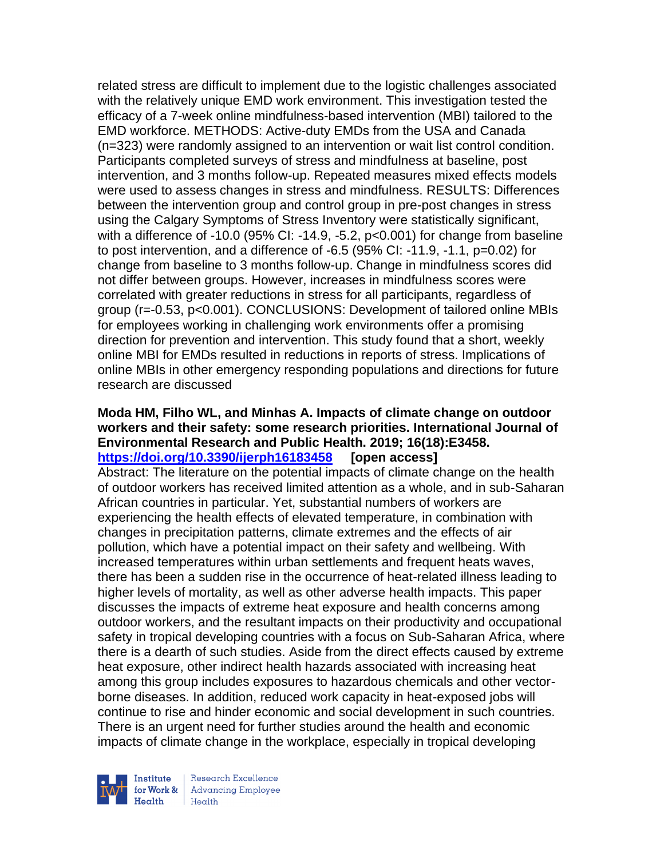related stress are difficult to implement due to the logistic challenges associated with the relatively unique EMD work environment. This investigation tested the efficacy of a 7-week online mindfulness-based intervention (MBI) tailored to the EMD workforce. METHODS: Active-duty EMDs from the USA and Canada (n=323) were randomly assigned to an intervention or wait list control condition. Participants completed surveys of stress and mindfulness at baseline, post intervention, and 3 months follow-up. Repeated measures mixed effects models were used to assess changes in stress and mindfulness. RESULTS: Differences between the intervention group and control group in pre-post changes in stress using the Calgary Symptoms of Stress Inventory were statistically significant, with a difference of -10.0 (95% CI: -14.9, -5.2, p<0.001) for change from baseline to post intervention, and a difference of -6.5 (95% CI: -11.9, -1.1, p=0.02) for change from baseline to 3 months follow-up. Change in mindfulness scores did not differ between groups. However, increases in mindfulness scores were correlated with greater reductions in stress for all participants, regardless of group (r=-0.53, p<0.001). CONCLUSIONS: Development of tailored online MBIs for employees working in challenging work environments offer a promising direction for prevention and intervention. This study found that a short, weekly online MBI for EMDs resulted in reductions in reports of stress. Implications of online MBIs in other emergency responding populations and directions for future research are discussed

#### **Moda HM, Filho WL, and Minhas A. Impacts of climate change on outdoor workers and their safety: some research priorities. International Journal of Environmental Research and Public Health. 2019; 16(18):E3458. <https://doi.org/10.3390/ijerph16183458> [open access]**

Abstract: The literature on the potential impacts of climate change on the health of outdoor workers has received limited attention as a whole, and in sub-Saharan African countries in particular. Yet, substantial numbers of workers are experiencing the health effects of elevated temperature, in combination with changes in precipitation patterns, climate extremes and the effects of air pollution, which have a potential impact on their safety and wellbeing. With increased temperatures within urban settlements and frequent heats waves, there has been a sudden rise in the occurrence of heat-related illness leading to higher levels of mortality, as well as other adverse health impacts. This paper discusses the impacts of extreme heat exposure and health concerns among outdoor workers, and the resultant impacts on their productivity and occupational safety in tropical developing countries with a focus on Sub-Saharan Africa, where there is a dearth of such studies. Aside from the direct effects caused by extreme heat exposure, other indirect health hazards associated with increasing heat among this group includes exposures to hazardous chemicals and other vectorborne diseases. In addition, reduced work capacity in heat-exposed jobs will continue to rise and hinder economic and social development in such countries. There is an urgent need for further studies around the health and economic impacts of climate change in the workplace, especially in tropical developing



Research Excellence **Advancing Employee** Health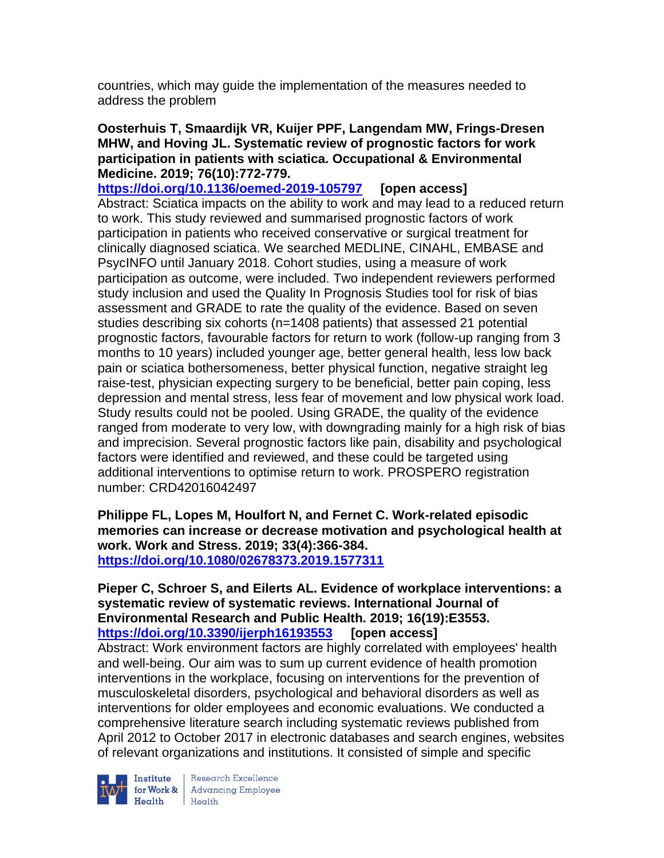countries, which may guide the implementation of the measures needed to address the problem

### **Oosterhuis T, Smaardijk VR, Kuijer PPF, Langendam MW, Frings-Dresen MHW, and Hoving JL. Systematic review of prognostic factors for work participation in patients with sciatica. Occupational & Environmental Medicine. 2019; 76(10):772-779.**

**<https://doi.org/10.1136/oemed-2019-105797> [open access]** Abstract: Sciatica impacts on the ability to work and may lead to a reduced return to work. This study reviewed and summarised prognostic factors of work participation in patients who received conservative or surgical treatment for clinically diagnosed sciatica. We searched MEDLINE, CINAHL, EMBASE and PsycINFO until January 2018. Cohort studies, using a measure of work participation as outcome, were included. Two independent reviewers performed study inclusion and used the Quality In Prognosis Studies tool for risk of bias assessment and GRADE to rate the quality of the evidence. Based on seven studies describing six cohorts (n=1408 patients) that assessed 21 potential prognostic factors, favourable factors for return to work (follow-up ranging from 3 months to 10 years) included younger age, better general health, less low back pain or sciatica bothersomeness, better physical function, negative straight leg raise-test, physician expecting surgery to be beneficial, better pain coping, less depression and mental stress, less fear of movement and low physical work load. Study results could not be pooled. Using GRADE, the quality of the evidence ranged from moderate to very low, with downgrading mainly for a high risk of bias and imprecision. Several prognostic factors like pain, disability and psychological factors were identified and reviewed, and these could be targeted using additional interventions to optimise return to work. PROSPERO registration number: CRD42016042497

**Philippe FL, Lopes M, Houlfort N, and Fernet C. Work-related episodic memories can increase or decrease motivation and psychological health at work. Work and Stress. 2019; 33(4):366-384. <https://doi.org/10.1080/02678373.2019.1577311>** 

#### **Pieper C, Schroer S, and Eilerts AL. Evidence of workplace interventions: a systematic review of systematic reviews. International Journal of Environmental Research and Public Health. 2019; 16(19):E3553. <https://doi.org/10.3390/ijerph16193553> [open access]**

Abstract: Work environment factors are highly correlated with employees' health and well-being. Our aim was to sum up current evidence of health promotion interventions in the workplace, focusing on interventions for the prevention of musculoskeletal disorders, psychological and behavioral disorders as well as interventions for older employees and economic evaluations. We conducted a comprehensive literature search including systematic reviews published from April 2012 to October 2017 in electronic databases and search engines, websites of relevant organizations and institutions. It consisted of simple and specific



Institute Research Excellence<br>for Work & Advancing Employee<br>Health Health Health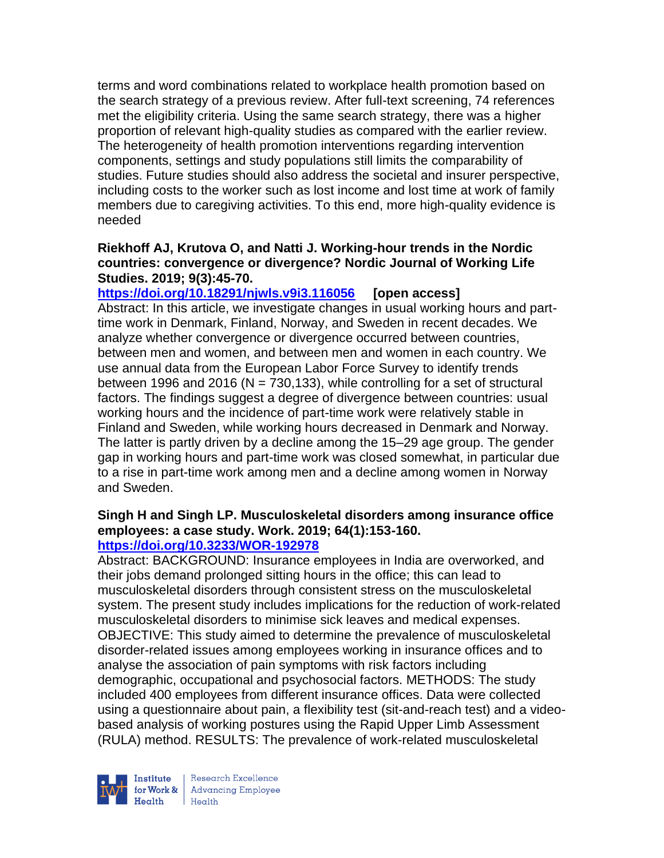terms and word combinations related to workplace health promotion based on the search strategy of a previous review. After full-text screening, 74 references met the eligibility criteria. Using the same search strategy, there was a higher proportion of relevant high-quality studies as compared with the earlier review. The heterogeneity of health promotion interventions regarding intervention components, settings and study populations still limits the comparability of studies. Future studies should also address the societal and insurer perspective, including costs to the worker such as lost income and lost time at work of family members due to caregiving activities. To this end, more high-quality evidence is needed

## **Riekhoff AJ, Krutova O, and Natti J. Working-hour trends in the Nordic countries: convergence or divergence? Nordic Journal of Working Life Studies. 2019; 9(3):45-70.**

**<https://doi.org/10.18291/njwls.v9i3.116056> [open access]** Abstract: In this article, we investigate changes in usual working hours and parttime work in Denmark, Finland, Norway, and Sweden in recent decades. We analyze whether convergence or divergence occurred between countries, between men and women, and between men and women in each country. We use annual data from the European Labor Force Survey to identify trends between 1996 and 2016 ( $N = 730,133$ ), while controlling for a set of structural factors. The findings suggest a degree of divergence between countries: usual working hours and the incidence of part-time work were relatively stable in Finland and Sweden, while working hours decreased in Denmark and Norway. The latter is partly driven by a decline among the 15–29 age group. The gender gap in working hours and part-time work was closed somewhat, in particular due to a rise in part-time work among men and a decline among women in Norway and Sweden.

#### **Singh H and Singh LP. Musculoskeletal disorders among insurance office employees: a case study. Work. 2019; 64(1):153-160. <https://doi.org/10.3233/WOR-192978>**

Abstract: BACKGROUND: Insurance employees in India are overworked, and their jobs demand prolonged sitting hours in the office; this can lead to musculoskeletal disorders through consistent stress on the musculoskeletal system. The present study includes implications for the reduction of work-related musculoskeletal disorders to minimise sick leaves and medical expenses. OBJECTIVE: This study aimed to determine the prevalence of musculoskeletal disorder-related issues among employees working in insurance offices and to analyse the association of pain symptoms with risk factors including demographic, occupational and psychosocial factors. METHODS: The study included 400 employees from different insurance offices. Data were collected using a questionnaire about pain, a flexibility test (sit-and-reach test) and a videobased analysis of working postures using the Rapid Upper Limb Assessment (RULA) method. RESULTS: The prevalence of work-related musculoskeletal



Research Excellence for Work & | Advancing Employee  $H_{\text{eath}}$